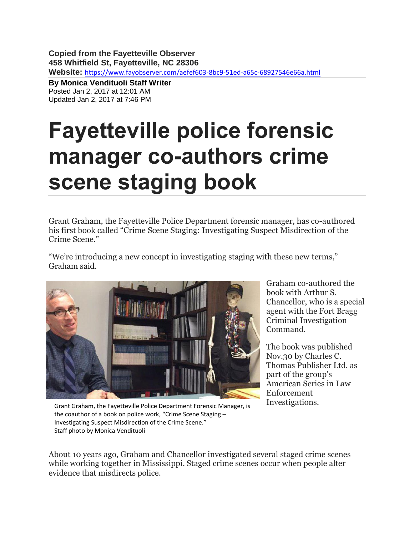**Copied from the Fayetteville Observer 458 Whitfield St, Fayetteville, NC 28306 Website:** <https://www.fayobserver.com/aefef603-8bc9-51ed-a65c-68927546e66a.html>

**By Monica Vendituoli Staff Writer** Posted Jan 2, 2017 at 12:01 AM Updated Jan 2, 2017 at 7:46 PM

## **Fayetteville police forensic manager co-authors crime scene staging book**

Grant Graham, the Fayetteville Police Department forensic manager, has co-authored his first book called "Crime Scene Staging: Investigating Suspect Misdirection of the Crime Scene."

"We're introducing a new concept in investigating staging with these new terms," Graham said.



Graham co-authored the book with Arthur S. Chancellor, who is a special agent with the Fort Bragg Criminal Investigation Command.

The book was published Nov.30 by Charles C. Thomas Publisher Ltd. as part of the group's American Series in Law Enforcement Investigations.

Grant Graham, the Fayetteville Police Department Forensic Manager, is the coauthor of a book on police work, "Crime Scene Staging – Investigating Suspect Misdirection of the Crime Scene." Staff photo by Monica Vendituoli

About 10 years ago, Graham and Chancellor investigated several staged crime scenes while working together in Mississippi. Staged crime scenes occur when people alter evidence that misdirects police.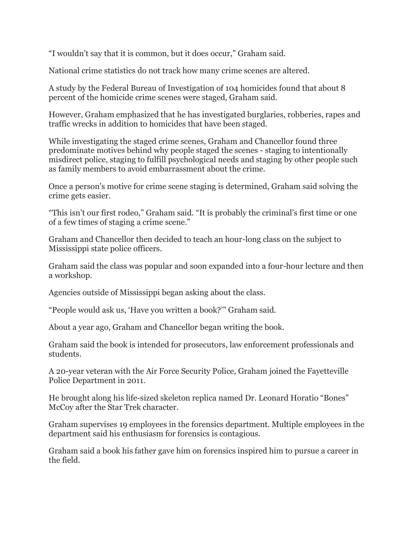"I wouldn't say that it is common, but it does occur," Graham said.

National crime statistics do not track how many crime scenes are altered.

A study by the Federal Bureau of Investigation of 104 homicides found that about 8 percent of the homicide crime scenes were staged, Graham said.

However, Graham emphasized that he has investigated burglaries, robberies, rapes and traffic wrecks in addition to homicides that have been staged.

While investigating the staged crime scenes, Graham and Chancellor found three predominate motives behind why people staged the scenes - staging to intentionally misdirect police, staging to fulfill psychological needs and staging by other people such as family members to avoid embarrassment about the crime.

Once a person's motive for crime scene staging is determined, Graham said solving the crime gets easier.

"This isn't our first rodeo," Graham said. "It is probably the criminal's first time or one of a few times of staging a crime scene."

Graham and Chancellor then decided to teach an hour-long class on the subject to Mississippi state police officers.

Graham said the class was popular and soon expanded into a four-hour lecture and then a workshop.

Agencies outside of Mississippi began asking about the class.

"People would ask us, 'Have you written a book?'" Graham said.

About a year ago, Graham and Chancellor began writing the book.

Graham said the book is intended for prosecutors, law enforcement professionals and students.

A 20-year veteran with the Air Force Security Police, Graham joined the Fayetteville Police Department in 2011.

He brought along his life-sized skeleton replica named Dr. Leonard Horatio "Bones" McCoy after the Star Trek character.

Graham supervises 19 employees in the forensics department. Multiple employees in the department said his enthusiasm for forensics is contagious.

Graham said a book his father gave him on forensics inspired him to pursue a career in the field.